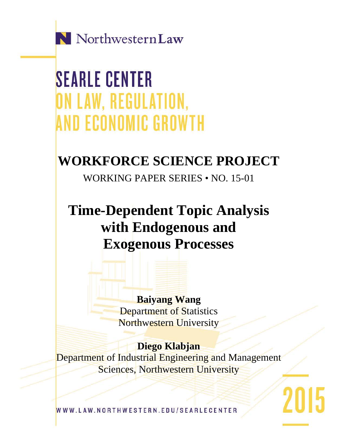

**SEARLE CENTER** ON LAW, REGULATION, **AND ECONOMIC GROWTH** 

# **WORKFORCE SCIENCE PROJECT**

WORKING PAPER SERIES • NO. 15-01

**Time-Dependent Topic Analysis with Endogenous and Exogenous Processes**

> **Baiyang Wang** Department of Statistics Northwestern University

# **Diego Klabjan**

Department of Industrial Engineering and Management Sciences, Northwestern University

2015

WWW.LAW.NORTHWESTERN.EDU/SEARLECENTER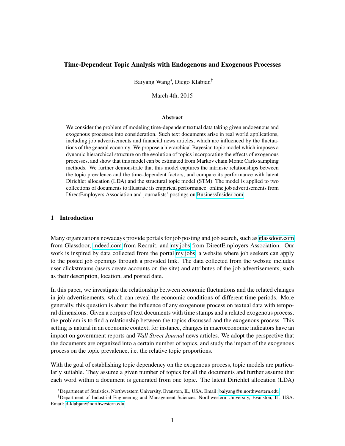# Time-Dependent Topic Analysis with Endogenous and Exogenous Processes

Baiyang Wang<sup>∗</sup> , Diego Klabjan†

March 4th, 2015

#### Abstract

We consider the problem of modeling time-dependent textual data taking given endogenous and exogenous processes into consideration. Such text documents arise in real world applications, including job advertisements and financial news articles, which are influenced by the fluctuations of the general economy. We propose a hierarchical Bayesian topic model which imposes a dynamic hierarchical structure on the evolution of topics incorporating the effects of exogenous processes, and show that this model can be estimated from Markov chain Monte Carlo sampling methods. We further demonstrate that this model captures the intrinsic relationships between the topic prevalence and the time-dependent factors, and compare its performance with latent Dirichlet allocation (LDA) and the structural topic model (STM). The model is applied to two collections of documents to illustrate its empirical performance: online job advertisements from DirectEmployers Association and journalists' postings on [BusinessInsider.com.](http://BusinessInsider.com)

# 1 Introduction

Many organizations nowadays provide portals for job posting and job search, such as [glassdoor.com](http://glassdoor.com) from Glassdoor, [indeed.com](http://indeed.com) from Recruit, and [my.jobs](http://my.jobs) from DirectEmployers Association. Our work is inspired by data collected from the portal [my.jobs,](http://my.jobs) a website where job seekers can apply to the posted job openings through a provided link. The data collected from the website includes user clickstreams (users create accounts on the site) and attributes of the job advertisements, such as their description, location, and posted date.

In this paper, we investigate the relationship between economic fluctuations and the related changes in job advertisements, which can reveal the economic conditions of different time periods. More generally, this question is about the influence of any exogenous process on textual data with temporal dimensions. Given a corpus of text documents with time stamps and a related exogenous process, the problem is to find a relationship between the topics discussed and the exogenous process. This setting is natural in an economic context; for instance, changes in macroeconomic indicators have an impact on government reports and *Wall Street Journal* news articles. We adopt the perspective that the documents are organized into a certain number of topics, and study the impact of the exogenous process on the topic prevalence, i.e. the relative topic proportions.

With the goal of establishing topic dependency on the exogenous process, topic models are particularly suitable. They assume a given number of topics for all the documents and further assume that each word within a document is generated from one topic. The latent Dirichlet allocation (LDA)

<sup>∗</sup>Department of Statistics, Northwestern University, Evanston, IL, USA. Email: [baiyang@u.northwestern.edu](mailto:baiyang@u.northwestern.edu)

<sup>†</sup>Department of Industrial Engineering and Management Sciences, Northwestern University, Evanston, IL, USA. Email: [d-klabjan@northwestern.edu](mailto:d-klabjan@northwestern.edu)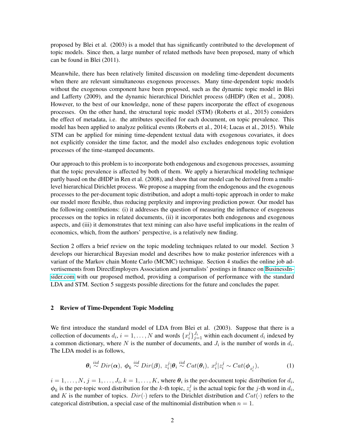proposed by Blei et al. (2003) is a model that has significantly contributed to the development of topic models. Since then, a large number of related methods have been proposed, many of which can be found in Blei (2011).

Meanwhile, there has been relatively limited discussion on modeling time-dependent documents when there are relevant simultaneous exogenous processes. Many time-dependent topic models without the exogenous component have been proposed, such as the dynamic topic model in Blei and Lafferty (2009), and the dynamic hierarchical Dirichlet process (dHDP) (Ren et al., 2008). However, to the best of our knowledge, none of these papers incorporate the effect of exogenous processes. On the other hand, the structural topic model (STM) (Roberts et al., 2015) considers the effect of metadata, i.e. the attributes specified for each document, on topic prevalence. This model has been applied to analyze political events (Roberts et al., 2014; Lucas et al., 2015). While STM can be applied for mining time-dependent textual data with exogenous covariates, it does not explicitly consider the time factor, and the model also excludes endogenous topic evolution processes of the time-stamped documents.

Our approach to this problem is to incorporate both endogenous and exogenous processes, assuming that the topic prevalence is affected by both of them. We apply a hierarchical modeling technique partly based on the dHDP in Ren et al. (2008), and show that our model can be derived from a multilevel hierarchical Dirichlet process. We propose a mapping from the endogenous and the exogenous processes to the per-document topic distribution, and adopt a multi-topic approach in order to make our model more flexible, thus reducing perplexity and improving prediction power. Our model has the following contributions: (i) it addresses the question of measuring the influence of exogenous processes on the topics in related documents, (ii) it incorporates both endogenous and exogenous aspects, and (iii) it demonstrates that text mining can also have useful implications in the realm of economics, which, from the authors' perspective, is a relatively new finding.

Section 2 offers a brief review on the topic modeling techniques related to our model. Section 3 develops our hierarchical Bayesian model and describes how to make posterior inferences with a variant of the Markov chain Monte Carlo (MCMC) technique. Section 4 studies the online job advertisements from DirectEmployers Association and journalists' postings in finance on [BusinessIn](http://BusinessInsider.com)[sider.com](http://BusinessInsider.com) with our proposed method, providing a comparison of performance with the standard LDA and STM. Section 5 suggests possible directions for the future and concludes the paper.

#### 2 Review of Time-Dependent Topic Modeling

We first introduce the standard model of LDA from Blei et al. (2003). Suppose that there is a collection of documents  $d_i$ ,  $i = 1, ..., N$  and words  $\{x_i^j\}$  $i_j^{j}$  $j_{j=1}^{J_i}$  within each document  $d_i$  indexed by a common dictionary, where N is the number of documents, and  $J_i$  is the number of words in  $d_i$ . The LDA model is as follows,

$$
\boldsymbol{\theta}_i \stackrel{iid}{\sim} Dir(\boldsymbol{\alpha}), \ \boldsymbol{\phi}_k \stackrel{iid}{\sim} Dir(\boldsymbol{\beta}), \ z_i^j |\boldsymbol{\theta}_i \stackrel{iid}{\sim} Cat(\boldsymbol{\theta}_i), \ x_i^j | z_i^j \sim Cat(\boldsymbol{\phi}_{z_i^j}), \tag{1}
$$

 $i = 1, \ldots, N$ ,  $j = 1, \ldots, J_i$ ,  $k = 1, \ldots, K$ , where  $\theta_i$  is the per-document topic distribution for  $d_i$ ,  $\phi_k$  is the per-topic word distribution for the k-th topic,  $z_i^j$  $i$  is the actual topic for the *j*-th word in  $d_i$ , and K is the number of topics.  $Dir(\cdot)$  refers to the Dirichlet distribution and  $Cat(\cdot)$  refers to the categorical distribution, a special case of the multinomial distribution when  $n = 1$ .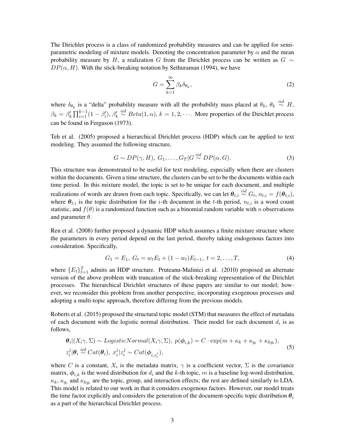The Dirichlet process is a class of randomized probability measures and can be applied for semiparametric modeling of mixture models. Denoting the concentration parameter by  $\alpha$  and the mean probability measure by H, a realization G from the Dirichlet process can be written as  $G \sim$  $DP(\alpha, H)$ . With the stick-breaking notation by Sethuraman (1994), we have

$$
G = \sum_{k=1}^{\infty} \beta_k \delta_{\theta_k},\tag{2}
$$

where  $\delta_{\theta_k}$  is a "delta" probability measure with all the probability mass placed at  $\theta_k$ ,  $\theta_k \stackrel{iid}{\sim} H$ ,  $\beta_k = \beta'_k \prod_{i=1}^{k-1} (1-\beta'_i), \beta'_k \stackrel{iid}{\sim} Beta(1,\alpha), k = 1, 2, \cdots$ . More properties of the Dirichlet process can be found in Ferguson (1973).

Teh et al. (2005) proposed a hierarchical Dirichlet process (HDP) which can be applied to text modeling. They assumed the following structure,

$$
G \sim DP(\gamma, H), \ G_1, \dots, G_T | G \stackrel{iid}{\sim} DP(\alpha, G). \tag{3}
$$

This structure was demonstrated to be useful for text modeling, especially when there are clusters within the documents. Given a time structure, the clusters can be set to be the documents within each time period. In this mixture model, the topic is set to be unique for each document, and multiple realizations of words are drawn from each topic. Specifically, we can let  $\theta_{t,i} \stackrel{iid}{\sim} G_t$ ,  $n_{t,i} = f(\theta_{t,i})$ , where  $\theta_{t,i}$  is the topic distribution for the *i*-th document in the *t*-th period,  $n_{t,i}$  is a word count statistic, and  $f(\theta)$  is a randomized function such as a binomial random variable with n observations and parameter  $\theta$ .

Ren et al. (2008) further proposed a dynamic HDP which assumes a finite mixture structure where the parameters in every period depend on the last period, thereby taking endogenous factors into consideration. Specifically,

$$
G_1 = E_1, G_t = w_t E_t + (1 - w_t) E_{t-1}, t = 2, \dots, T,
$$
\n<sup>(4)</sup>

where  $\{E_t\}_{t=1}^T$  admits an HDP structure. Pruteanu-Malinici et al. (2010) proposed an alternate version of the above problem with truncation of the stick-breaking representation of the Dirichlet processes. The hierarchical Dirichlet structures of these papers are similar to our model; however, we reconsider this problem from another perspective, incorporating exogenous processes and adopting a multi-topic approach, therefore differing from the previous models.

Roberts et al. (2015) proposed the structural topic model (STM) that measures the effect of metadata of each document with the logistic normal distribution. Their model for each document  $d_i$  is as follows,

$$
\theta_i|(X_i\gamma, \Sigma) \sim LogisticNormal(X_i\gamma, \Sigma), p(\phi_{i,k}) = C \cdot \exp(m + \kappa_k + \kappa_{g_i} + \kappa_{kg_i}),
$$
  
\n
$$
z_i^j|\theta_i \stackrel{iid}{\sim} Cat(\theta_i), x_i^j|z_i^j \sim Cat(\phi_{i,z_i^j}),
$$
\n(5)

where C is a constant,  $X_i$  is the metadata matrix,  $\gamma$  is a coefficient vector,  $\Sigma$  is the covariance matrix,  $\phi_{i,k}$  is the word distribution for  $d_i$  and the k-th topic, m is a baseline log-word distribution,  $\kappa_k$ ,  $\kappa_{g_i}$  and  $\kappa_{kg_i}$  are the topic, group, and interaction effects; the rest are defined similarly to LDA. This model is related to our work in that it considers exogenous factors. However, our model treats the time factor explicitly and considers the generation of the document-specific topic distribution  $\theta_i$ as a part of the hierarchical Dirichlet process.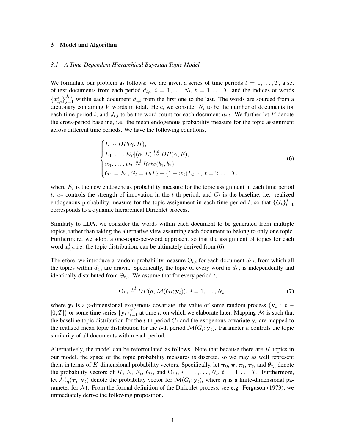#### 3 Model and Algorithm

#### *3.1 A Time-Dependent Hierarchical Bayesian Topic Model*

We formulate our problem as follows: we are given a series of time periods  $t = 1, \ldots, T$ , a set of text documents from each period  $d_{t,i}$ ,  $i = 1, \ldots, N_t$ ,  $t = 1, \ldots, T$ , and the indices of words  ${x_{t,i}}^j}_{j=1}^{J_{t,i}}$  within each document  $d_{t,i}$  from the first one to the last. The words are sourced from a dictionary containing V words in total. Here, we consider  $N_t$  to be the number of documents for each time period t, and  $J_{t,i}$  to be the word count for each document  $d_{t,i}$ . We further let E denote the cross-period baseline, i.e. the mean endogenous probability measure for the topic assignment across different time periods. We have the following equations,

$$
\begin{cases}\nE \sim DP(\gamma, H), \\
E_1, \ldots, E_T | (\alpha, E) \stackrel{iid}{\sim} DP(\alpha, E), \\
w_1, \ldots, w_T \stackrel{iid}{\sim} Beta(b_1, b_2), \\
G_1 = E_1, G_t = w_t E_t + (1 - w_t) E_{t-1}, t = 2, \ldots, T,\n\end{cases}
$$
\n(6)

where  $E_t$  is the new endogenous probability measure for the topic assignment in each time period t,  $w_t$  controls the strength of innovation in the t-th period, and  $G_t$  is the baseline, i.e. realized endogenous probability measure for the topic assignment in each time period t, so that  $\{G_t\}_{t=1}^T$ corresponds to a dynamic hierarchical Dirichlet process.

Similarly to LDA, we consider the words within each document to be generated from multiple topics, rather than taking the alternative view assuming each document to belong to only one topic. Furthermore, we adopt a one-topic-per-word approach, so that the assignment of topics for each word  $x_{t,i}^j$ , i.e. the topic distribution, can be ultimately derived from (6).

Therefore, we introduce a random probability measure  $\Theta_{t,i}$  for each document  $d_{t,i}$ , from which all the topics within  $d_{t,i}$  are drawn. Specifically, the topic of every word in  $d_{t,i}$  is independently and identically distributed from  $\Theta_{t,i}$ . We assume that for every period t,

$$
\Theta_{t,i} \stackrel{iid}{\sim} DP(a, \mathcal{M}(G_t; \mathbf{y}_t)), \ i = 1, \dots, N_t,
$$
\n(7)

where  $y_t$  is a p-dimensional exogenous covariate, the value of some random process  $\{y_t : t \in \mathbb{R}\}$  $[0, T]$  or some time series  $\{y_t\}_{t=1}^T$  at time t, on which we elaborate later. Mapping M is such that the baseline topic distribution for the t-th period  $G_t$  and the exogenous covariate  $y_t$  are mapped to the realized mean topic distribution for the t-th period  $\mathcal{M}(G_t; \mathbf{y}_t)$ . Parameter a controls the topic similarity of all documents within each period.

Alternatively, the model can be reformulated as follows. Note that because there are  $K$  topics in our model, the space of the topic probability measures is discrete, so we may as well represent them in terms of K-dimensional probability vectors. Specifically, let  $\pi_0$ ,  $\pi$ ,  $\pi_t$ ,  $\tau_t$ , and  $\theta_{t,i}$  denote the probability vectors of H, E,  $E_t$ ,  $G_t$ , and  $\Theta_{t,i}$ ,  $i = 1, \ldots, N_t$ ,  $t = 1, \ldots, T$ . Furthermore, let  $\mathcal{M}_{\eta}(\tau_t; y_t)$  denote the probability vector for  $\mathcal{M}(G_t; y_t)$ , where  $\eta$  is a finite-dimensional parameter for M. From the formal definition of the Dirichlet process, see e.g. Ferguson (1973), we immediately derive the following proposition.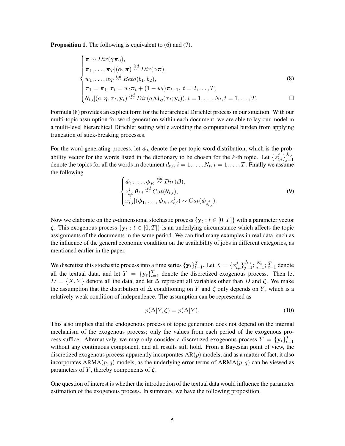Proposition 1. The following is equivalent to (6) and (7),

$$
\begin{cases}\n\pi \sim Dir(\gamma \pi_0), \\
\pi_1, \ldots, \pi_T | (\alpha, \pi) \stackrel{iid}{\sim} Dir(\alpha \pi), \\
w_1, \ldots, w_T \stackrel{iid}{\sim} Beta(b_1, b_2), \\
\tau_1 = \pi_1, \tau_t = w_t \pi_t + (1 - w_t) \pi_{t-1}, \ t = 2, \ldots, T, \\
\theta_{t,i} | (a, \eta, \tau_t, \mathbf{y}_t) \stackrel{iid}{\sim} Dir(a \mathcal{M}_{\eta}(\tau_t; \mathbf{y}_t)), i = 1, \ldots, N_t, t = 1, \ldots, T.\n\end{cases}
$$
\n(8)

Formula (8) provides an explicit form for the hierarchical Dirichlet process in our situation. With our multi-topic assumption for word generation within each document, we are able to lay our model in a multi-level hierarchical Dirichlet setting while avoiding the computational burden from applying truncation of stick-breaking processes.

For the word generating process, let  $\phi_k$  denote the per-topic word distribution, which is the probability vector for the words listed in the dictionary to be chosen for the k-th topic. Let  $\{z_{t,i}^j\}_{j=1}^{J_t,i}$  $j=1$ denote the topics for all the words in document  $d_{t,i}$ ,  $i = 1, \ldots, N_t$ ,  $t = 1, \ldots, T$ . Finally we assume the following

$$
\begin{cases}\n\phi_1, \dots, \phi_K \stackrel{iid}{\sim} Dir(\boldsymbol{\beta}), \\
z_{t,i}^j | \theta_{t,i} \stackrel{iid}{\sim} Cat(\theta_{t,i}), \\
x_{t,i}^j | (\phi_1, \dots, \phi_K, z_{t,i}^j) \sim Cat(\phi_{z_{t,i}^j}).\n\end{cases}
$$
\n(9)

Now we elaborate on the p-dimensional stochastic process  $\{{\bf y}_t: t\in [0,T]\}$  with a parameter vector  $\zeta$ . This exogenous process  $\{y_t : t \in [0,T]\}$  is an underlying circumstance which affects the topic assignments of the documents in the same period. We can find many examples in real data, such as the influence of the general economic condition on the availability of jobs in different categories, as mentioned earlier in the paper.

We discretize this stochastic process into a time series  $\{y_t\}_{t=1}^T$ . Let  $X = \{x_{t,i}^j\}_{j=1}^{J_{t,i}}, \sum_{i=1}^{N_t}, \sum_{t=1}^T$  denote all the textual data, and let  $Y = \{y_t\}_{t=1}^T$  denote the discretized exogenous process. Then let  $D = \{X, Y\}$  denote all the data, and let  $\Delta$  represent all variables other than D and  $\zeta$ . We make the assumption that the distribution of  $\Delta$  conditioning on Y and  $\zeta$  only depends on Y, which is a relatively weak condition of independence. The assumption can be represented as

$$
p(\Delta|Y,\zeta) = p(\Delta|Y). \tag{10}
$$

This also implies that the endogenous process of topic generation does not depend on the internal mechanism of the exogenous process; only the values from each period of the exogenous process suffice. Alternatively, we may only consider a discretized exogenous process  $Y = \{y_t\}_{t=1}^T$ without any continuous component, and all results still hold. From a Bayesian point of view, the discretized exogenous process apparently incorporates  $AR(p)$  models, and as a matter of fact, it also incorporates ARMA $(p, q)$  models, as the underlying error terms of ARMA $(p, q)$  can be viewed as parameters of Y, thereby components of  $\zeta$ .

One question of interest is whether the introduction of the textual data would influence the parameter estimation of the exogenous process. In summary, we have the following proposition.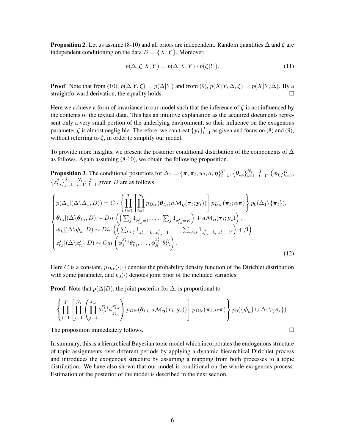**Proposition 2.** Let us assume (8-10) and all priors are independent. Random quantities  $\Delta$  and  $\zeta$  are independent conditioning on the data  $D = \{X, Y\}$ . Moreover,

$$
p(\Delta, \zeta | X, Y) = p(\Delta | X, Y) \cdot p(\zeta | Y). \tag{11}
$$

**Proof.** Note that from (10),  $p(\Delta|Y,\zeta) = p(\Delta|Y)$  and from (9),  $p(X|Y,\Delta,\zeta) = p(X|Y,\Delta)$ . By a straightforward derivation, the equality holds.  $\square$ 

Here we achieve a form of invariance in our model such that the inference of  $\zeta$  is not influenced by the contents of the textual data. This has an intuitive explanation as the acquired documents represent only a very small portion of the underlying environment, so their influence on the exogenous parameter  $\zeta$  is almost negligible. Therefore, we can treat  $\{y_t\}_{t=1}^T$  as given and focus on (8) and (9), without referring to  $\zeta$ , in order to simplify our model.

To provide more insights, we present the posterior conditional distribution of the components of  $\Delta$ as follows. Again assuming (8-10), we obtain the following proposition.

**Proposition 3**. The conditional posteriors for  $\Delta_1 = {\pi, \pi_t, w_t, a, \eta}_{t=1}^T$ ,  ${\{\theta_{t,i}\}}_{i=1}^{N_t}$ ;  $\{^T_{t=1}, {\{\phi_k}\}}_{k=1}^K$ ,  $\{z_{t,i}^j\}_{j=1}^{J_{t,i}}$ ;  $N_t$ ;  $T_{t=1}$  given D are as follows

$$
\begin{cases}\np(\Delta_1 | (\Delta \setminus \Delta_1, D)) = C \cdot \left\{ \prod_{t=1}^T \left[ \prod_{i=1}^{N_t} p_{Dir}(\boldsymbol{\theta}_{t,i}; a \mathcal{M}_{\boldsymbol{\eta}}(\boldsymbol{\tau}_t; \mathbf{y}_t)) \right] p_{Dir}(\boldsymbol{\pi}_t; \alpha \boldsymbol{\pi}) \right\} p_0(\Delta_1 \setminus \{ \boldsymbol{\pi}_t \}), \\
\boldsymbol{\theta}_{t,i} | (\Delta \setminus \boldsymbol{\theta}_{t,i}, D) \sim Dir\left( \left( \sum_j \mathbf{1}_{z_{t,i}^j = 1}, \dots, \sum_j \mathbf{1}_{z_{t,i}^j = K} \right) + a \mathcal{M}_{\boldsymbol{\eta}}(\boldsymbol{\tau}_t; \mathbf{y}_t) \right), \\
\boldsymbol{\phi}_k | (\Delta \setminus \boldsymbol{\phi}_k, D) \sim Dir\left( \left( \sum_{t,i,j} \mathbf{1}_{z_{t,i}^j = k, x_{t,i}^j = 1}, \dots, \sum_{t,i,j} \mathbf{1}_{z_{t,i}^j = k, x_{t,i}^j = V} \right) + \boldsymbol{\beta} \right), \\
z_{t,i}^j | (\Delta \setminus z_{t,i}^j, D) \sim Cat\left( \phi_1^{x_{t,i}^j} \boldsymbol{\theta}_{t,i}^1, \dots, \phi_K^{x_{t,i}^j} \boldsymbol{\theta}_{t,i}^K \right).\n\end{cases} \tag{12}
$$

Here C is a constant,  $p_{Dir}(\cdot;\cdot)$  denotes the probability density function of the Dirichlet distribution with some parameter, and  $p_0(\cdot)$  denotes joint prior of the included variables.

**Proof.** Note that  $p(\Delta|D)$ , the joint posterior for  $\Delta$ , is proportional to

$$
\left\{\prod_{t=1}^T\left[\prod_{i=1}^{N_t}\left(\prod_{j=1}^{J_{t,i}}\theta_{t,i}^{z_{t,i}^j}\phi_{z_{t,i}^j}^{x_{t,i}^j}\right)p_{Dir}(\theta_{t,i};a\mathcal{M}_{\boldsymbol{\eta}}(\boldsymbol{\tau}_t;\mathbf{y}_t))\right]p_{Dir}(\boldsymbol{\pi}_t;\alpha\boldsymbol{\pi})\right\}p_0(\{\phi_k\}\cup\Delta_1\setminus\{\boldsymbol{\pi}_t\}).
$$

The proposition immediately follows.  $\Box$ 

In summary, this is a hierarchical Bayesian topic model which incorporates the endogenous structure of topic assignments over different periods by applying a dynamic hierarchical Dirichlet process and introduces the exogenous structure by assuming a mapping from both processes to a topic distribution. We have also shown that our model is conditional on the whole exogenous process. Estimation of the posterior of the model is described in the next section.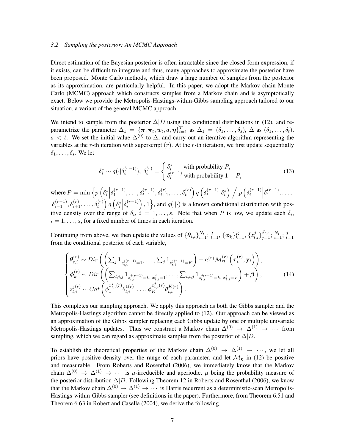#### *3.2 Sampling the posterior: An MCMC Approach*

Direct estimation of the Bayesian posterior is often intractable since the closed-form expression, if it exists, can be difficult to integrate and thus, many approaches to approximate the posterior have been proposed. Monte Carlo methods, which draw a large number of samples from the posterior as its approximation, are particularly helpful. In this paper, we adopt the Markov chain Monte Carlo (MCMC) approach which constructs samples from a Markov chain and is asymptotically exact. Below we provide the Metropolis-Hastings-within-Gibbs sampling approach tailored to our situation, a variant of the general MCMC approach.

We intend to sample from the posterior  $\Delta|D$  using the conditional distributions in (12), and reparametrize the parameter  $\Delta_1 = {\{\pi, \pi_t, w_t, a, \eta\}}_{t=1}^T$  as  $\Delta_1 = (\delta_1, \dots, \delta_s)$ ,  $\Delta$  as  $(\delta_1, \dots, \delta_t)$ , s < t. We set the initial value  $\Delta^{(0)}$  to  $\Delta$ , and carry out an iterative algorithm representing the variables at the r-th iteration with superscript  $(r)$ . At the r-th iteration, we first update sequentially  $\delta_1, \ldots, \delta_s$ . We let

$$
\delta_i^* \sim q(\cdot|\delta_i^{(r-1)}), \ \delta_i^{(r)} = \begin{cases} \delta_i^* & \text{with probability } P, \\ \delta_i^{(r-1)} & \text{with probability } 1 - P, \end{cases}
$$
 (13)

where  $P = \min \left\{ p \left( \delta_i^* \middle| \right) \right\}$  $\delta_1^{(r-1)}$  $\delta_{i-1}^{(r-1)}, \ldots, \delta_{i-1}^{(r-1)}, \delta_{i+1}^{(r)}, \ldots, \delta_t^{(r)}$ ) q  $(\delta_i^{(r-1)},$  $\binom{(r-1)}{i}$  $\delta_i^*$  )  $\bigg / p\left(\delta_i^{(r-1)}\right)$  $\binom{(r-1)}{i}$  $\delta_1^{(r-1)}$  $1^{(r-1)}, \ldots,$  $\delta_{i-1}^{(r-1)}$  $\left\{\begin{matrix} (r-1), \delta_{i+1}^{(r)}, \ldots, \delta_t^{(r)} \end{matrix}\right\} q\left(\delta_i^*\right)$  $\delta_i^{(r-1)}$  $\binom{(r-1)}{i}$ , 1, and  $q(\cdot|\cdot)$  is a known conditional distribution with positive density over the range of  $\delta_i$ ,  $i = 1, \ldots, s$ . Note that when P is low, we update each  $\delta_i$ ,  $i = 1, \ldots, s$ , for a fixed number of times in each iteration.

Continuing from above, we then update the values of  $\{\theta_{t,i}\}_{i=1}^{N_t}$ ;  $T_{t=1}$ ,  $\{\phi_k\}_{k=1}^K$ ,  $\{z_{t,i}^j\}_{j=1}^{J_{t,i}}$ ;  $\sum_{i=1}^{N_t}$ ;  $T_{t=1}$ from the conditional posterior of each variable,

$$
\begin{cases}\n\theta_{t,i}^{(r)} \sim Dir\left(\left(\sum_{j} 1_{z_{t,i}^{j(r-1)}=1}, \ldots, \sum_{j} 1_{z_{t,i}^{j(r-1)}=K}\right) + a^{(r)} \mathcal{M}_{\eta}^{(r)}\left(\tau_{t}^{(r)}; \mathbf{y}_{t}\right)\right), \\
\phi_{k}^{(r)} \sim Dir\left(\left(\sum_{t,i,j} 1_{z_{t,i}^{j(r-1)}=k, x_{t,i}^{j}=1}, \ldots, \sum_{t,i,j} 1_{z_{t,i}^{j(r-1)}=k, x_{t,i}^{j}=V}\right) + \beta\right), \\
z_{t,i}^{j(r)} \sim Cat\left(\phi_{1}^{x_{t,i}^{j}(r)}\theta_{t,i}^{1(r)}, \ldots, \phi_{K}^{x_{t,i}^{j}(r)}\theta_{t,i}^{K(r)}\right).\n\end{cases} (14)
$$

This completes our sampling approach. We apply this approach as both the Gibbs sampler and the Metropolis-Hastings algorithm cannot be directly applied to (12). Our approach can be viewed as an approximation of the Gibbs sampler replacing each Gibbs update by one or multiple univariate Metropolis-Hastings updates. Thus we construct a Markov chain  $\Delta^{(0)} \rightarrow \Delta^{(1)} \rightarrow \cdots$  from sampling, which we can regard as approximate samples from the posterior of  $\Delta|D$ .

To establish the theoretical properties of the Markov chain  $\Delta^{(0)} \rightarrow \Delta^{(1)} \rightarrow \cdots$ , we let all priors have positive density over the range of each parameter, and let  $\mathcal{M}_n$  in (12) be positive and measurable. From Roberts and Rosenthal (2006), we immediately know that the Markov chain  $\Delta^{(0)} \to \Delta^{(1)} \to \cdots$  is  $\mu$ -irreducible and aperiodic,  $\mu$  being the probability measure of the posterior distribution  $\Delta|D$ . Following Theorem 12 in Roberts and Rosenthal (2006), we know that the Markov chain  $\Delta^{(0)} \to \Delta^{(1)} \to \cdots$  is Harris recurrent as a deterministic-scan Metropolis-Hastings-within-Gibbs sampler (see definitions in the paper). Furthermore, from Theorem 6.51 and Theorem 6.63 in Robert and Casella (2004), we derive the following.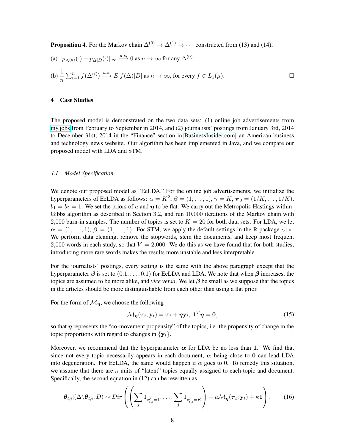**Proposition 4.** For the Markov chain  $\Delta^{(0)} \rightarrow \Delta^{(1)} \rightarrow \cdots$  constructed from (13) and (14),

(a) 
$$
||p_{\Delta^{(n)}}(\cdot) - p_{\Delta|D}(\cdot)||_{\infty} \xrightarrow{a.s}
$$
 0 as  $n \to \infty$  for any  $\Delta^{(0)}$ ;  
\n(b)  $\frac{1}{n} \sum_{i=1}^{n} f(\Delta^{(i)}) \xrightarrow{a.s} E[f(\Delta)|D]$  as  $n \to \infty$ , for every  $f \in L_1(\mu)$ .

# 4 Case Studies

The proposed model is demonstrated on the two data sets: (1) online job advertisements from [my.jobs](http://my.jobs) from February to September in 2014, and (2) journalists' postings from January 3rd, 2014 to December 31st, 2014 in the "Finance" section in [BusinessInsider.com,](http://BusinessInsider.com) an American business and technology news website. Our algorithm has been implemented in Java, and we compare our proposed model with LDA and STM.

#### *4.1 Model Specification*

We denote our proposed model as "EeLDA." For the online job advertisements, we initialize the hyperparameters of EeLDA as follows:  $\alpha = K^2$ ,  $\boldsymbol{\beta} = (1, \dots, 1)$ ,  $\gamma = K$ ,  $\boldsymbol{\pi}_0 = (1/K, \dots, 1/K)$ ,  $b_1 = b_2 = 1$ . We set the priors of a and  $\eta$  to be flat. We carry out the Metropolis-Hastings-within-Gibbs algorithm as described in Section 3.2, and run 10,000 iterations of the Markov chain with 2,000 burn-in samples. The number of topics is set to  $K = 20$  for both data sets. For LDA, we let  $\alpha = (1, \ldots, 1), \beta = (1, \ldots, 1)$ . For STM, we apply the default settings in the R package stm. We perform data cleaning, remove the stopwords, stem the documents, and keep most frequent 2,000 words in each study, so that  $V = 2,000$ . We do this as we have found that for both studies, introducing more rare words makes the results more unstable and less interpretable.

For the journalists' postings, every setting is the same with the above paragraph except that the hyperparameter  $\beta$  is set to  $(0.1, \ldots, 0.1)$  for EeLDA and LDA. We note that when  $\beta$  increases, the topics are assumed to be more alike, and *vice versa*. We let  $\beta$  be small as we suppose that the topics in the articles should be more distinguishable from each other than using a flat prior.

For the form of  $\mathcal{M}_n$ , we choose the following

$$
\mathcal{M}_{\eta}(\tau_t; \mathbf{y}_t) = \tau_t + \eta \mathbf{y}_t, \ \mathbf{1}^T \eta = \mathbf{0}, \tag{15}
$$

so that  $\eta$  represents the "co-movement propensity" of the topics, i.e. the propensity of change in the topic proportions with regard to changes in  $\{y_t\}$ .

Moreover, we recommend that the hyperparameter  $\alpha$  for LDA be no less than 1. We find that since not every topic necessarily appears in each document,  $\alpha$  being close to 0 can lead LDA into degeneration. For EeLDA, the same would happen if  $\alpha$  goes to 0. To remedy this situation, we assume that there are  $\kappa$  units of "latent" topics equally assigned to each topic and document. Specifically, the second equation in (12) can be rewritten as

$$
\boldsymbol{\theta}_{t,i}|(\Delta \backslash \boldsymbol{\theta}_{t,i},D) \sim Dir\left(\left(\sum_j 1_{z_{t,i}^j=1},\ldots,\sum_j 1_{z_{t,i}^j=K}\right)+a\mathcal{M}_{\boldsymbol{\eta}}(\boldsymbol{\tau}_t;\mathbf{y}_t)+\kappa\mathbf{1}\right).
$$
 (16)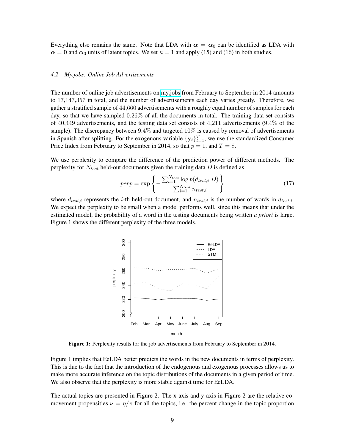Everything else remains the same. Note that LDA with  $\alpha = \alpha_0$  can be identified as LDA with  $\alpha = 0$  and  $\alpha_0$  units of latent topics. We set  $\kappa = 1$  and apply (15) and (16) in both studies.

#### *4.2 My.jobs: Online Job Advertisements*

The number of online job advertisements on [my.jobs](http://my.jobs) from February to September in 2014 amounts to 17,147,357 in total, and the number of advertisements each day varies greatly. Therefore, we gather a stratified sample of 44,660 advertisements with a roughly equal number of samples for each day, so that we have sampled  $0.26\%$  of all the documents in total. The training data set consists of 40,449 advertisements, and the testing data set consists of 4,211 advertisements  $(9.4\%$  of the sample). The discrepancy between 9.4% and targeted 10% is caused by removal of advertisements in Spanish after splitting. For the exogenous variable  $\{y_t\}_{t=1}^T$ , we use the standardized Consumer Price Index from February to September in 2014, so that  $p = 1$ , and  $T = 8$ .

We use perplexity to compare the difference of the prediction power of different methods. The perplexity for  $N_{test}$  held-out documents given the training data  $D$  is defined as

$$
perp = \exp\left\{-\frac{\sum_{i=1}^{N_{test}} \log p(d_{test,i}|D)}{\sum_{i=1}^{N_{test}} n_{test,i}}\right\}
$$
(17)

where  $d_{test,i}$  represents the *i*-th held-out document, and  $n_{test,i}$  is the number of words in  $d_{test,i}$ . We expect the perplexity to be small when a model performs well, since this means that under the estimated model, the probability of a word in the testing documents being written *a priori* is large. Figure 1 shows the different perplexity of the three models.



Figure 1: Perplexity results for the job advertisements from February to September in 2014.

Figure 1 implies that EeLDA better predicts the words in the new documents in terms of perplexity. This is due to the fact that the introduction of the endogenous and exogenous processes allows us to make more accurate inference on the topic distributions of the documents in a given period of time. We also observe that the perplexity is more stable against time for EeLDA.

The actual topics are presented in Figure 2. The x-axis and y-axis in Figure 2 are the relative comovement propensities  $\nu = \eta/\pi$  for all the topics, i.e. the percent change in the topic proportion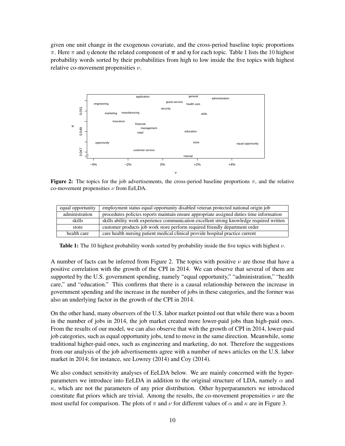given one unit change in the exogenous covariate, and the cross-period baseline topic proportions π. Here π and η denote the related component of  $\pi$  and  $\eta$  for each topic. Table 1 lists the 10 highest probability words sorted by their probabilities from high to low inside the five topics with highest relative co-movement propensities  $\nu$ .



**Figure 2:** The topics for the job advertisements, the cross-period baseline proportions  $\pi$ , and the relative co-movement propensities  $\nu$  from EeLDA.

| equal opportunity | employment status equal opportunity disabled veteran protected national origin job       |
|-------------------|------------------------------------------------------------------------------------------|
| administration    | procedures policies reports maintain ensure appropriate assigned duties time information |
| skills            | skills ability work experience communication excellent strong knowledge required written |
| store             | customer products job work store perform required friendly department order              |
| health care       | care health nursing patient medical clinical provide hospital practice current           |

**Table 1:** The 10 highest probability words sorted by probability inside the five topics with highest  $\nu$ .

A number of facts can be inferred from Figure 2. The topics with positive  $\nu$  are those that have a positive correlation with the growth of the CPI in 2014. We can observe that several of them are supported by the U.S. government spending, namely "equal opportunity," "administration," "health care," and "education." This confirms that there is a causal relationship between the increase in government spending and the increase in the number of jobs in these categories, and the former was also an underlying factor in the growth of the CPI in 2014.

On the other hand, many observers of the U.S. labor market pointed out that while there was a boom in the number of jobs in 2014, the job market created more lower-paid jobs than high-paid ones. From the results of our model, we can also observe that with the growth of CPI in 2014, lower-paid job categories, such as equal opportunity jobs, tend to move in the same direction. Meanwhile, some traditional higher-paid ones, such as engineering and marketing, do not. Therefore the suggestions from our analysis of the job advertisements agree with a number of news articles on the U.S. labor market in 2014; for instance, see Lowrey (2014) and Coy (2014).

We also conduct sensitivity analyses of EeLDA below. We are mainly concerned with the hyperparameters we introduce into EeLDA in addition to the original structure of LDA, namely  $\alpha$  and  $\kappa$ , which are not the parameters of any prior distribution. Other hyperparameters we introduced constitute flat priors which are trivial. Among the results, the co-movement propensities  $\nu$  are the most useful for comparison. The plots of  $\pi$  and  $\nu$  for different values of  $\alpha$  and  $\kappa$  are in Figure 3.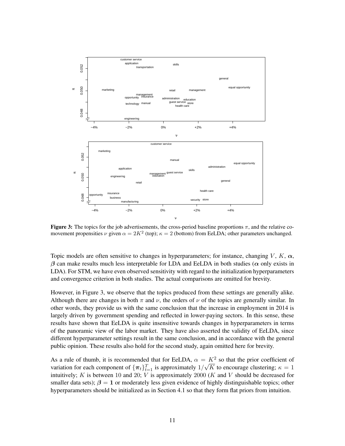

Figure 3: The topics for the job advertisements, the cross-period baseline proportions  $\pi$ , and the relative comovement propensities  $\nu$  given  $\alpha = 2K^2$  (top);  $\kappa = 2$  (bottom) from EeLDA; other parameters unchanged.

Topic models are often sensitive to changes in hyperparameters; for instance, changing  $V, K, \alpha$ ,  $\beta$  can make results much less interpretable for LDA and EeLDA in both studies ( $\alpha$  only exists in LDA). For STM, we have even observed sensitivity with regard to the initialization hyperparameters and convergence criterion in both studies. The actual comparisons are omitted for brevity.

However, in Figure 3, we observe that the topics produced from these settings are generally alike. Although there are changes in both  $\pi$  and  $\nu$ , the orders of  $\nu$  of the topics are generally similar. In other words, they provide us with the same conclusion that the increase in employment in 2014 is largely driven by government spending and reflected in lower-paying sectors. In this sense, these results have shown that EeLDA is quite insensitive towards changes in hyperparameters in terms of the panoramic view of the labor market. They have also asserted the validity of EeLDA, since different hyperparameter settings result in the same conclusion, and in accordance with the general public opinion. These results also hold for the second study, again omitted here for brevity.

As a rule of thumb, it is recommended that for EeLDA,  $\alpha = K^2$  so that the prior coefficient of variation for each component of  $\{\boldsymbol{\pi}_t\}_{t=1}^T$  is approximately  $1/$ √ K to encourage clustering;  $\kappa = 1$ intuitively;  $K$  is between 10 and 20;  $V$  is approximately 2000 ( $K$  and  $V$  should be decreased for smaller data sets);  $\beta = 1$  or moderately less given evidence of highly distinguishable topics; other hyperparameters should be initialized as in Section 4.1 so that they form flat priors from intuition.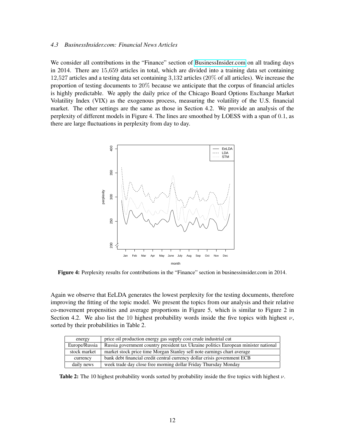#### *4.3 BusinessInsider.com: Financial News Articles*

We consider all contributions in the "Finance" section of [BusinessInsider.com](http://BusinessInsider.com) on all trading days in 2014. There are 15,659 articles in total, which are divided into a training data set containing 12,527 articles and a testing data set containing 3,132 articles (20% of all articles). We increase the proportion of testing documents to 20% because we anticipate that the corpus of financial articles is highly predictable. We apply the daily price of the Chicago Board Options Exchange Market Volatility Index (VIX) as the exogenous process, measuring the volatility of the U.S. financial market. The other settings are the same as those in Section 4.2. We provide an analysis of the perplexity of different models in Figure 4. The lines are smoothed by LOESS with a span of 0.1, as there are large fluctuations in perplexity from day to day.



Figure 4: Perplexity results for contributions in the "Finance" section in businessinsider.com in 2014.

Again we observe that EeLDA generates the lowest perplexity for the testing documents, therefore improving the fitting of the topic model. We present the topics from our analysis and their relative co-movement propensities and average proportions in Figure 5, which is similar to Figure 2 in Section 4.2. We also list the 10 highest probability words inside the five topics with highest  $\nu$ , sorted by their probabilities in Table 2.

| energy        | price oil production energy gas supply cost crude industrial cut                    |  |
|---------------|-------------------------------------------------------------------------------------|--|
| Europe/Russia | Russia government country president tax Ukraine politics European minister national |  |
| stock market  | market stock price time Morgan Stanley sell note earnings chart average             |  |
| currency      | bank debt financial credit central currency dollar crisis government ECB            |  |
| daily news    | week trade day close free morning dollar Friday Thursday Monday                     |  |

**Table 2:** The 10 highest probability words sorted by probability inside the five topics with highest  $\nu$ .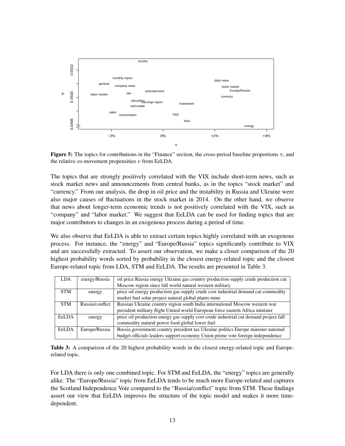

**Figure 5:** The topics for contributions in the "Finance" section, the cross-period baseline proportions  $\pi$ , and the relative co-movement propensities  $\nu$  from EeLDA.

The topics that are strongly positively correlated with the VIX include short-term news, such as stock market news and announcements from central banks, as in the topics "stock market" and "currency." From our analysis, the drop in oil price and the instability in Russia and Ukraine were also major causes of fluctuations in the stock market in 2014. On the other hand, we observe that news about longer-term economic trends is not positively correlated with the VIX, such as "company" and "labor market." We suggest that EeLDA can be used for finding topics that are major contributors to changes in an exogenous process during a period of time.

We also observe that EeLDA is able to extract certain topics highly correlated with an exogenous process. For instance, the "energy" and "Europe/Russia" topics significantly contribute to VIX and are successfully extracted. To assert our observation, we make a closer comparison of the 20 highest probability words sorted by probability in the closest energy-related topic and the closest Europe-related topic from LDA, STM and EeLDA. The results are presented in Table 3.

| <b>LDA</b> | energy/Russia   | oil price Russia energy Ukraine gas country production supply crude production cut   |
|------------|-----------------|--------------------------------------------------------------------------------------|
|            |                 | Moscow region since fall world natural western military                              |
| <b>STM</b> | energy          | price oil energy production gas supply crude cost industrial demand cut commodity    |
|            |                 | market fuel solar project natural global plants mine                                 |
| <b>STM</b> | Russia/conflict | Russian Ukraine country region south India international Moscow western war          |
|            |                 | president military flight United world European force eastern Africa minister        |
| EeLDA      | energy          | price oil production energy gas supply cost crude industrial cut demand project fall |
|            |                 | commodity natural power food global lower fuel                                       |
| EeLDA      | Europe/Russia   | Russia government country president tax Ukraine politics Europe minister national    |
|            |                 | budget officials leaders support economy Union prime vote foreign independence       |

Table 3: A comparison of the 20 highest probability words in the closest energy-related topic and Europerelated topic.

For LDA there is only one combined topic. For STM and EeLDA, the "energy" topics are generally alike. The "Europe/Russia" topic from EeLDA tends to be much more Europe-related and captures the Scotland Independence Vote compared to the "Russia/conflict" topic from STM. These findings assert our view that EeLDA improves the structure of the topic model and makes it more timedependent.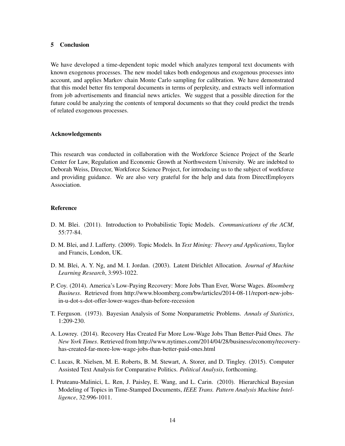#### 5 Conclusion

We have developed a time-dependent topic model which analyzes temporal text documents with known exogenous processes. The new model takes both endogenous and exogenous processes into account, and applies Markov chain Monte Carlo sampling for calibration. We have demonstrated that this model better fits temporal documents in terms of perplexity, and extracts well information from job advertisements and financial news articles. We suggest that a possible direction for the future could be analyzing the contents of temporal documents so that they could predict the trends of related exogenous processes.

#### Acknowledgements

This research was conducted in collaboration with the Workforce Science Project of the Searle Center for Law, Regulation and Economic Growth at Northwestern University. We are indebted to Deborah Weiss, Director, Workforce Science Project, for introducing us to the subject of workforce and providing guidance. We are also very grateful for the help and data from DirectEmployers Association.

#### Reference

- D. M. Blei. (2011). Introduction to Probabilistic Topic Models. *Communications of the ACM*, 55:77-84.
- D. M. Blei, and J. Lafferty. (2009). Topic Models. In *Text Mining: Theory and Applications*, Taylor and Francis, London, UK.
- D. M. Blei, A. Y. Ng, and M. I. Jordan. (2003). Latent Dirichlet Allocation. *Journal of Machine Learning Research*, 3:993-1022.
- P. Coy. (2014). America's Low-Paying Recovery: More Jobs Than Ever, Worse Wages. *Bloomberg Business*. Retrieved from http://www.bloomberg.com/bw/articles/2014-08-11/report-new-jobsin-u-dot-s-dot-offer-lower-wages-than-before-recession
- T. Ferguson. (1973). Bayesian Analysis of Some Nonparametric Problems. *Annals of Statistics*, 1:209-230.
- A. Lowrey. (2014). Recovery Has Created Far More Low-Wage Jobs Than Better-Paid Ones. *The New York Times*. Retrieved from http://www.nytimes.com/2014/04/28/business/economy/recoveryhas-created-far-more-low-wage-jobs-than-better-paid-ones.html
- C. Lucas, R. Nielsen, M. E. Roberts, B. M. Stewart, A. Storer, and D. Tingley. (2015). Computer Assisted Text Analysis for Comparative Politics. *Political Analysis*, forthcoming.
- I. Pruteanu-Malinici, L. Ren, J. Paisley, E. Wang, and L. Carin. (2010). Hierarchical Bayesian Modeling of Topics in Time-Stamped Documents, *IEEE Trans. Pattern Analysis Machine Intelligence*, 32:996-1011.